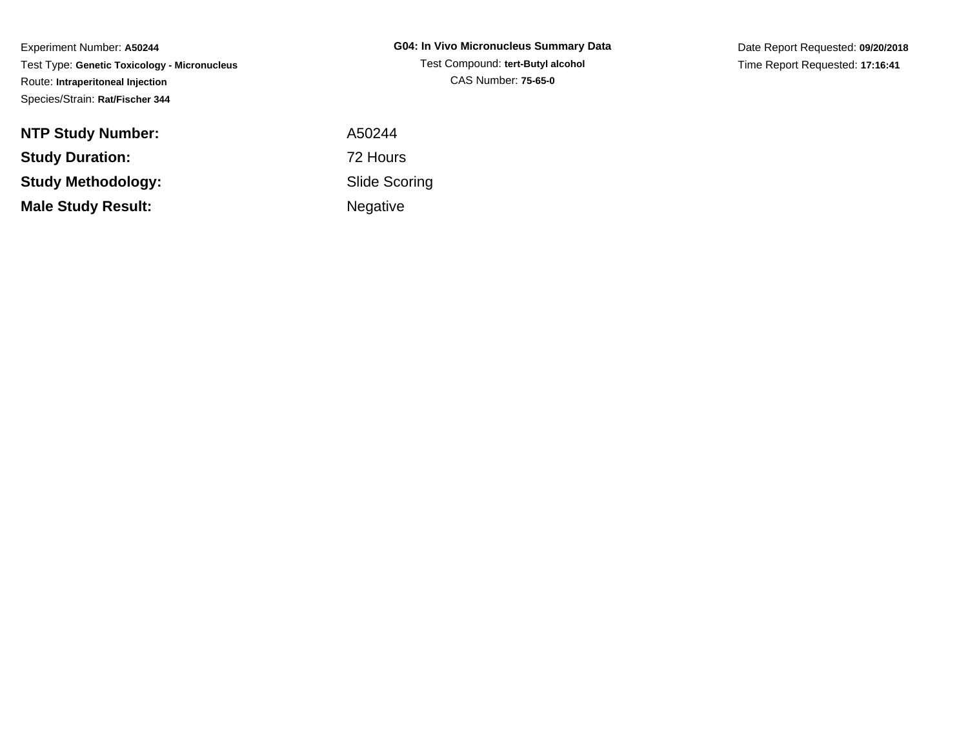Experiment Number: **A50244** Test Type: **Genetic Toxicology - Micronucleus**Route: **Intraperitoneal Injection**Species/Strain: **Rat/Fischer 344**

**NTP Study Number:Study Duration:Study Methodology:Male Study Result:**

**G04: In Vivo Micronucleus Summary Data**Test Compound: **tert-Butyl alcohol**CAS Number: **75-65-0**

Date Report Requested: **09/20/2018**Time Report Requested: **17:16:41**

 A50244 72 Hours Slide ScoringNegative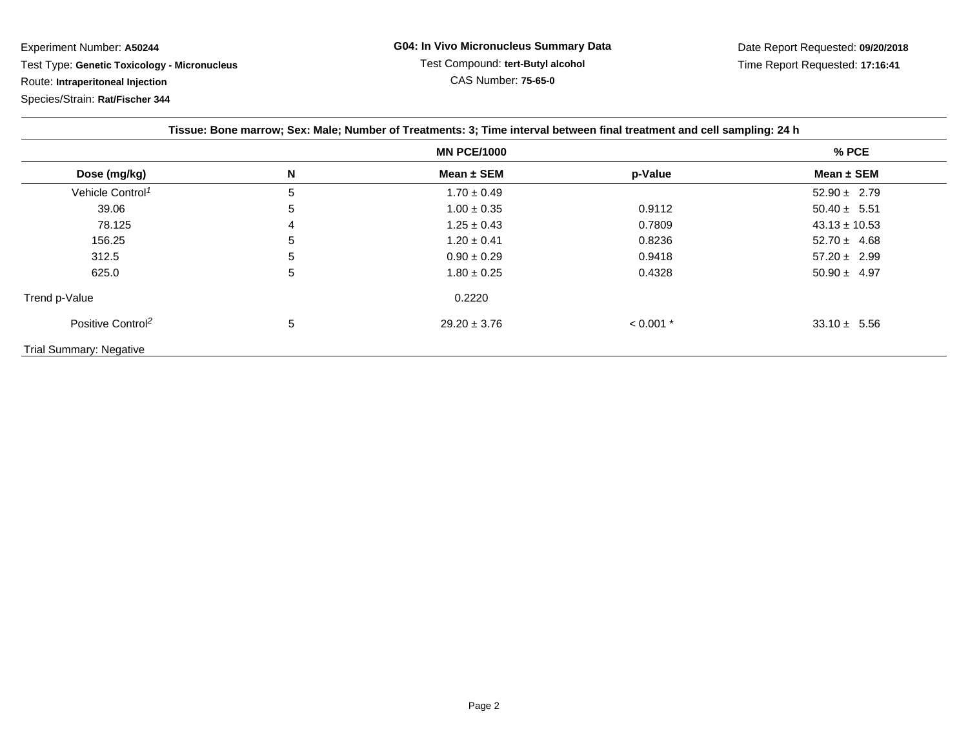Experiment Number: **A50244**

Test Type: **Genetic Toxicology - Micronucleus**

Route: **Intraperitoneal Injection**

Species/Strain: **Rat/Fischer 344**

| Tissue: Bone marrow; Sex: Male; Number of Treatments: 3; Time interval between final treatment and cell sampling: 24 h |                    |                  |             |                   |
|------------------------------------------------------------------------------------------------------------------------|--------------------|------------------|-------------|-------------------|
|                                                                                                                        | <b>MN PCE/1000</b> |                  |             | % PCE             |
| Dose (mg/kg)                                                                                                           | N                  | Mean $\pm$ SEM   | p-Value     | Mean $\pm$ SEM    |
| Vehicle Control <sup>1</sup>                                                                                           | 5                  | $1.70 \pm 0.49$  |             | $52.90 \pm 2.79$  |
| 39.06                                                                                                                  | 5                  | $1.00 \pm 0.35$  | 0.9112      | $50.40 \pm 5.51$  |
| 78.125                                                                                                                 | 4                  | $1.25 \pm 0.43$  | 0.7809      | $43.13 \pm 10.53$ |
| 156.25                                                                                                                 | 5                  | $1.20 \pm 0.41$  | 0.8236      | $52.70 \pm 4.68$  |
| 312.5                                                                                                                  | 5                  | $0.90 \pm 0.29$  | 0.9418      | $57.20 \pm 2.99$  |
| 625.0                                                                                                                  | 5                  | $1.80 \pm 0.25$  | 0.4328      | $50.90 \pm 4.97$  |
| Trend p-Value                                                                                                          |                    | 0.2220           |             |                   |
| Positive Control <sup>2</sup>                                                                                          | 5                  | $29.20 \pm 3.76$ | $< 0.001$ * | $33.10 \pm 5.56$  |
| <b>Trial Summary: Negative</b>                                                                                         |                    |                  |             |                   |